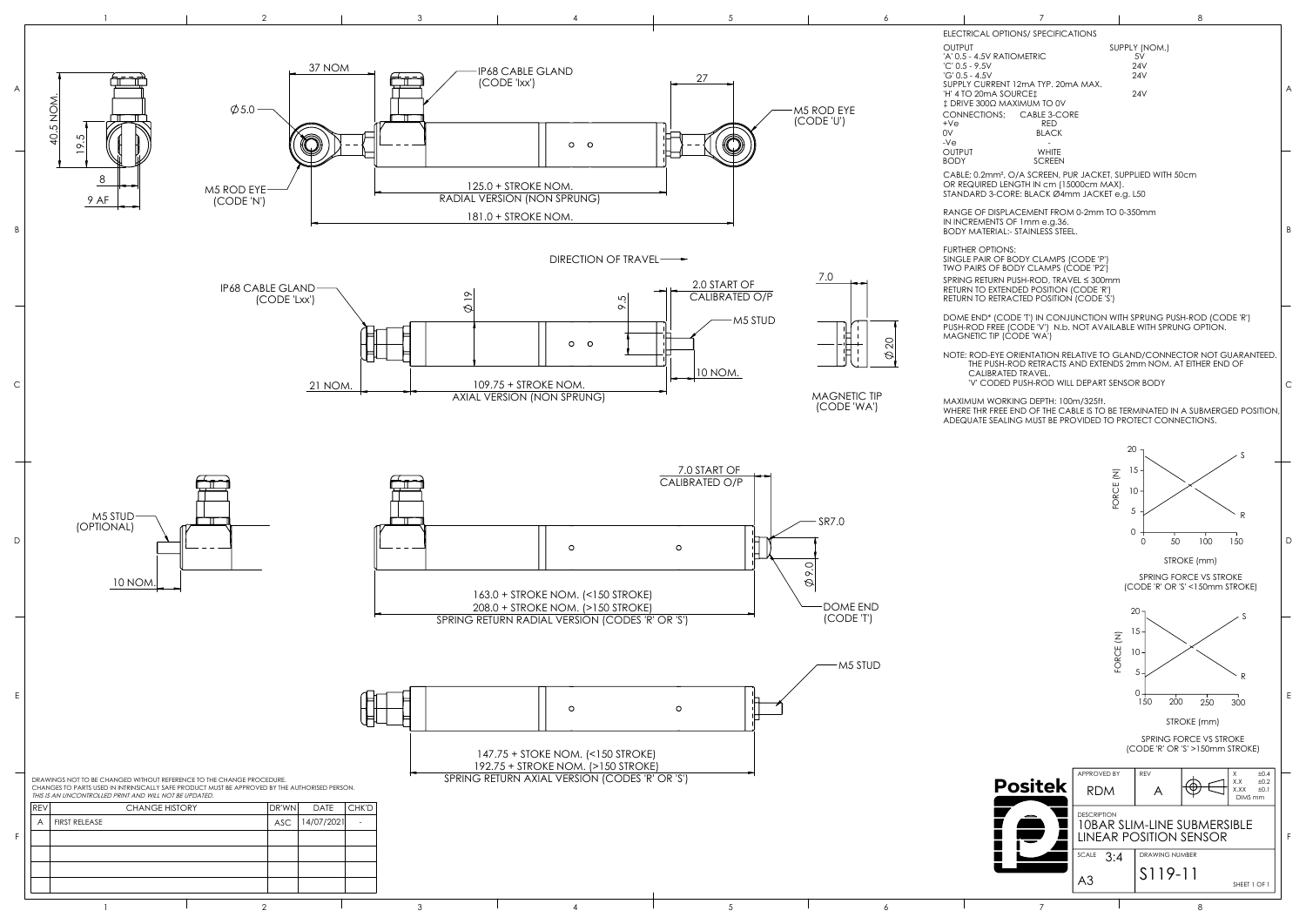| Τ                                                                                                                                                                |                                                                     |                       | 8                                                         |                                                     |   |
|------------------------------------------------------------------------------------------------------------------------------------------------------------------|---------------------------------------------------------------------|-----------------------|-----------------------------------------------------------|-----------------------------------------------------|---|
| ELECTRICAL OPTIONS/ SPECIFICATIONS<br><b>OUTPUT</b>                                                                                                              |                                                                     | SUPPLY (NOM.)         |                                                           |                                                     |   |
| 'A' 0.5 - 4.5V RATIOMETRIC<br>'C' 0.5 - 9.5V                                                                                                                     |                                                                     | 5V<br>24V             |                                                           |                                                     |   |
| 'G' 0.5 - 4.5V<br>SUPPLY CURRENT 12mA TYP. 20mA MAX.                                                                                                             |                                                                     | 24V                   |                                                           |                                                     |   |
| 'H' 4 TO 20mA SOURCE‡<br>‡ DRIVE 300Ω MAXIMUM TO 0V                                                                                                              |                                                                     | 24V                   |                                                           |                                                     | A |
| CONNECTIONS;<br>CABLE 3-CORE                                                                                                                                     |                                                                     |                       |                                                           |                                                     |   |
| +Ve<br><b>RED</b><br>0V<br><b>BLACK</b>                                                                                                                          |                                                                     |                       |                                                           |                                                     |   |
| -Ve<br>Output<br>WHITE<br>BODY<br>SCREEN                                                                                                                         |                                                                     |                       |                                                           |                                                     |   |
| CABLE; 0.2mm <sup>2</sup> , O/A SCREEN, PUR JACKET, SUPPLIED WITH 50cm<br>OR REQUIRED LENGTH IN cm (15000cm MAX).<br>STANDARD 3-CORE: BLACK Ø4mm JACKET e.g. L50 |                                                                     |                       |                                                           |                                                     |   |
| RANGE OF DISPLACEMENT FROM 0-2mm TO 0-350mm<br>IN INCREMENTS OF 1mm e.g.36.<br><b>BODY MATERIAL:- STAINLESS STEEL.</b>                                           |                                                                     |                       |                                                           |                                                     | B |
| <b>FURTHER OPTIONS:</b>                                                                                                                                          |                                                                     |                       |                                                           |                                                     |   |
| SINGLE PAIR OF BODY CLAMPS (CODE 'P')<br>TWO PAIRS OF BODY CLAMPS (CODE 'P2')                                                                                    |                                                                     |                       |                                                           |                                                     |   |
| SPRING RETURN PUSH-ROD, TRAVEL ≤ 300mm<br>RETURN TO EXTENDED POSITION (CODE 'R')<br>RETURN TO RETRACTED POSITION (CODE 'S')                                      |                                                                     |                       |                                                           |                                                     |   |
| DOME END* (CODE 'T') IN CONJUNCTION WITH SPRUNG PUSH-ROD (CODE 'R')                                                                                              |                                                                     |                       |                                                           |                                                     |   |
| PUSH-ROD FREE (CODE 'V') N.b. NOT AVAILABLE WITH SPRUNG OPTION.<br>MAGNETIC TIP (CODE 'WA')                                                                      |                                                                     |                       |                                                           |                                                     |   |
| NOTE: ROD-EYE ORIENTATION RELATIVE TO GLAND/CONNECTOR NOT GUARANTEED.<br>THE PUSH-ROD RETRACTS AND EXTENDS 2mm NOM. AT EITHER END OF                             |                                                                     |                       |                                                           |                                                     |   |
| CALIBRATED TRAVEL.<br>'V' CODED PUSH-ROD WILL DEPART SENSOR BODY                                                                                                 |                                                                     |                       |                                                           |                                                     | C |
| MAXIMUM WORKING DEPTH: 100m/325ft.<br>WHERE THR FREE END OF THE CABLE IS TO BE TERMINATED IN A SUBMERGED POSITION.                                               |                                                                     |                       |                                                           |                                                     |   |
| ADEQUATE SEALING MUST BE PROVIDED TO PROTECT CONNECTIONS.                                                                                                        |                                                                     |                       |                                                           |                                                     |   |
|                                                                                                                                                                  | 20                                                                  |                       |                                                           | S                                                   |   |
|                                                                                                                                                                  | 15                                                                  |                       |                                                           |                                                     |   |
|                                                                                                                                                                  | ORCE                                                                | $10 -$                |                                                           |                                                     |   |
|                                                                                                                                                                  | 5                                                                   |                       |                                                           |                                                     |   |
|                                                                                                                                                                  | 0                                                                   |                       |                                                           | R                                                   |   |
|                                                                                                                                                                  |                                                                     | 50<br>0               | 100                                                       | 150                                                 | D |
|                                                                                                                                                                  |                                                                     |                       | STROKE (mm)                                               |                                                     |   |
|                                                                                                                                                                  |                                                                     |                       | SPRING FORCE VS STROKE<br>(CODE 'R' OR 'S' <150mm STROKE) |                                                     |   |
|                                                                                                                                                                  |                                                                     | 20                    |                                                           |                                                     |   |
|                                                                                                                                                                  |                                                                     | 15                    |                                                           | S                                                   |   |
|                                                                                                                                                                  | FORCE (N)                                                           |                       |                                                           |                                                     |   |
|                                                                                                                                                                  |                                                                     | 10 <sup>1</sup>       |                                                           |                                                     |   |
|                                                                                                                                                                  |                                                                     | 5                     |                                                           | R                                                   |   |
|                                                                                                                                                                  |                                                                     | 0<br>150<br>200       | 250                                                       | 300                                                 | Е |
|                                                                                                                                                                  |                                                                     |                       | STROKE (mm)                                               |                                                     |   |
|                                                                                                                                                                  |                                                                     |                       | SPRING FORCE VS STROKE<br>(CODE 'R' OR 'S' >150mm STROKE) |                                                     |   |
|                                                                                                                                                                  |                                                                     |                       |                                                           |                                                     |   |
| <b>Positek</b>                                                                                                                                                   | APPROVED BY<br><b>RDM</b>                                           | REV<br>A              |                                                           | χ<br>±0.4<br>X.X<br>±0.2<br>X.XX<br>±0.1<br>DIMS mm |   |
|                                                                                                                                                                  | <b>DESCRIPTION</b>                                                  |                       |                                                           |                                                     |   |
|                                                                                                                                                                  | <b>10BAR SLIM-LINE SUBMERSIBLE</b><br><b>LINEAR POSITION SENSOR</b> |                       |                                                           |                                                     | F |
|                                                                                                                                                                  | SCALE<br>3:4                                                        | <b>DRAWING NUMBER</b> |                                                           |                                                     |   |
|                                                                                                                                                                  | A3                                                                  | S119-11               |                                                           | SHEET 1 OF 1                                        |   |
| 7                                                                                                                                                                |                                                                     |                       | 8                                                         |                                                     |   |

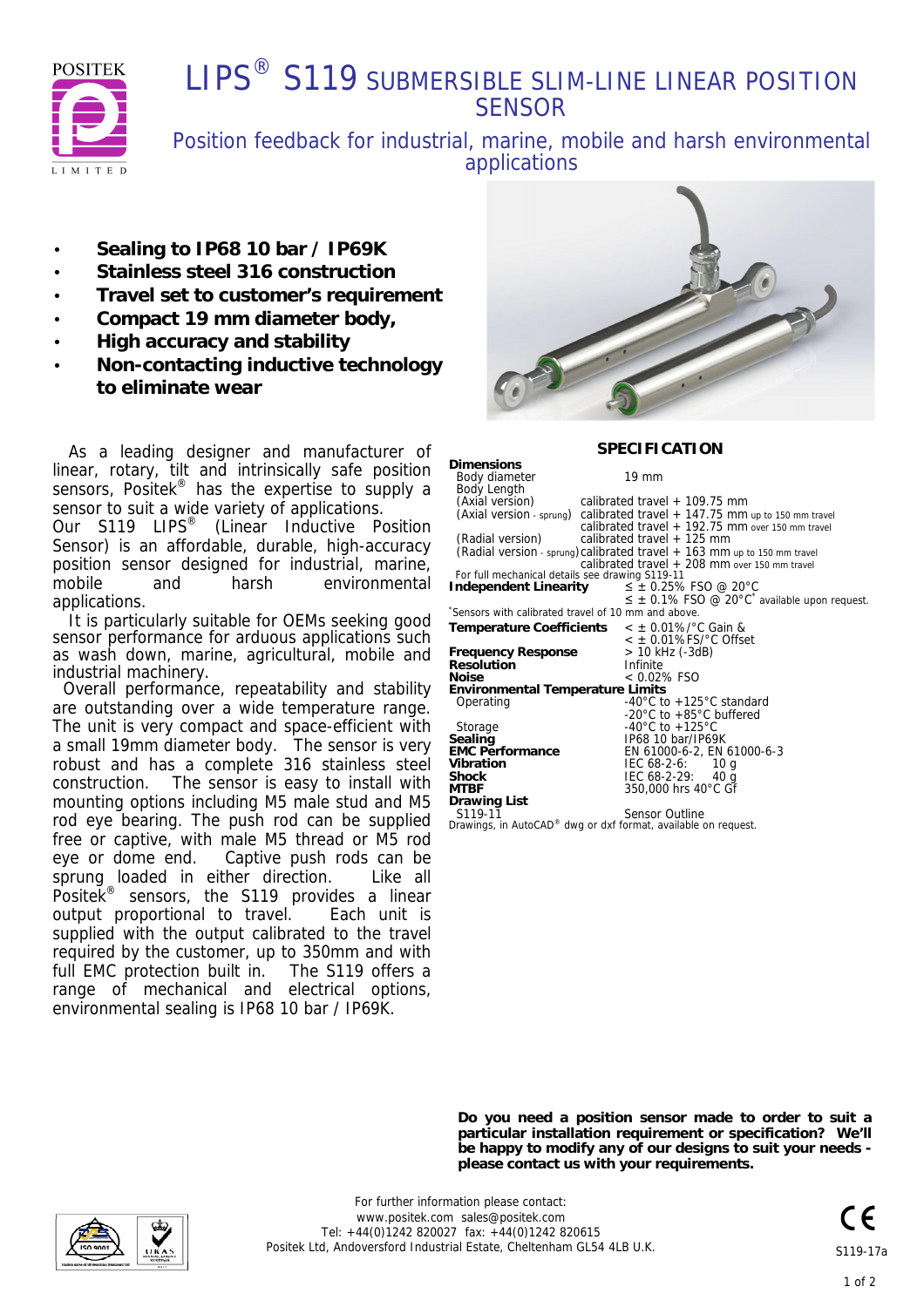

## **I IPS<sup>®</sup> S119 SUBMERSIBLE SLIM-LINE LINEAR POSITION SENSOR**

Position feedback for industrial, marine, mobile and harsh environmental applications

**Dimensions**

- · **Sealing to IP68 10 bar / IP69K**
- · **Stainless steel 316 construction**
- · **Travel set to customer's requirement**
- · **Compact 19 mm diameter body,**
- · **High accuracy and stability**
- · **Non-contacting inductive technology to eliminate wear**

 As a leading designer and manufacturer of linear, rotary, tilt and intrinsically safe position sensors, Positek<sup>®</sup> has the expertise to supply a sensor to suit a wide variety of applications. Our S119 LIPS® (Linear Inductive Position

Sensor) is an affordable, durable, high-accuracy position sensor designed for industrial, marine, mobile and harsh environmental applications.

 It is particularly suitable for OEMs seeking good sensor performance for arduous applications such as wash down, marine, agricultural, mobile and industrial machinery.

 Overall performance, repeatability and stability are outstanding over a wide temperature range. The unit is very compact and space-efficient with a small 19mm diameter body. The sensor is very robust and has a complete 316 stainless steel construction. The sensor is easy to install with mounting options including M5 male stud and M5 rod eye bearing. The push rod can be supplied free or captive, with male M5 thread or M5 rod eye or dome end. Captive push rods can be sprung loaded in either direction. Like all Positek<sup>®</sup> sensors, the S119 provides a linear output proportional to travel. Each unit is supplied with the output calibrated to the travel required by the customer, up to 350mm and with full EMC protection built in. The S119 offers a range of mechanical and electrical options, environmental sealing is IP68 10 bar / IP69K.



#### **SPECIFICATION**

| Body diameter                                                              | $19 \text{ mm}$                                                            |
|----------------------------------------------------------------------------|----------------------------------------------------------------------------|
| Body Length                                                                |                                                                            |
| (Axial version)                                                            | calibrated travel + 109.75 mm                                              |
|                                                                            | (Axial version - sprung) calibrated travel + 147.75 mm up to 150 mm travel |
|                                                                            | calibrated travel $+$ 192.75 mm over 150 mm travel                         |
| (Radial version)                                                           | calibrated travel $+$ 125 mm                                               |
|                                                                            | (Radial version - sprung) calibrated travel $+163$ mm up to 150 mm travel  |
|                                                                            | calibrated travel $+208$ mm over 150 mm travel                             |
| For full mechanical details see drawing S119-11                            |                                                                            |
| Independent Linearity                                                      | $\leq$ $\pm$ 0.25% FSO @ 20°C                                              |
|                                                                            | $\leq$ $\pm$ 0.1% FSO @ 20°C <sup>*</sup> available upon request.          |
| Sensors with calibrated travel of 10 mm and above.                         |                                                                            |
| Temperature Coefficients $\lt \pm 0.01\%$ °C Gain &                        |                                                                            |
|                                                                            | $\epsilon$ ± 0.01%FS/°C Offset                                             |
| <b>Frequency Response</b>                                                  | > 10 kHz (-3dB)                                                            |
| <b>Resolution</b>                                                          | Infinite                                                                   |
| <b>Noise</b>                                                               | $< 0.02\%$ FSO                                                             |
| <b>Environmental Temperature Limits</b>                                    |                                                                            |
| Operating                                                                  | -40 $^{\circ}$ C to +125 $^{\circ}$ C standard                             |
|                                                                            | -20 $\degree$ C to +85 $\degree$ C buffered                                |
| Storage                                                                    | -40°C to +125°C                                                            |
| Sealing                                                                    | IP68 10 bar/IP69K                                                          |
| <b>EMC Performance</b>                                                     | EN 61000-6-2, EN 61000-6-3                                                 |
| Vibration                                                                  | $IEC 68-2-6: 10 q$                                                         |
| <b>Shock</b>                                                               | IEC 68-2-29: 40 g                                                          |
| <b>MTBF</b>                                                                | 350,000 hrs 40°C Gf                                                        |
| Drawing List                                                               |                                                                            |
| S <sub>119-11</sub>                                                        | <b>Sensor Outline</b>                                                      |
| Drawings, in AutoCAD <sup>®</sup> dwg or dxf format, available on request. |                                                                            |

*Drawings, in AutoCAD® dwg or dxf format, available on request.*

**Do you need a position sensor made to order to suit a particular installation requirement or specification? We'll be happy to modify any of our designs to suit your needs please contact us with your requirements.**

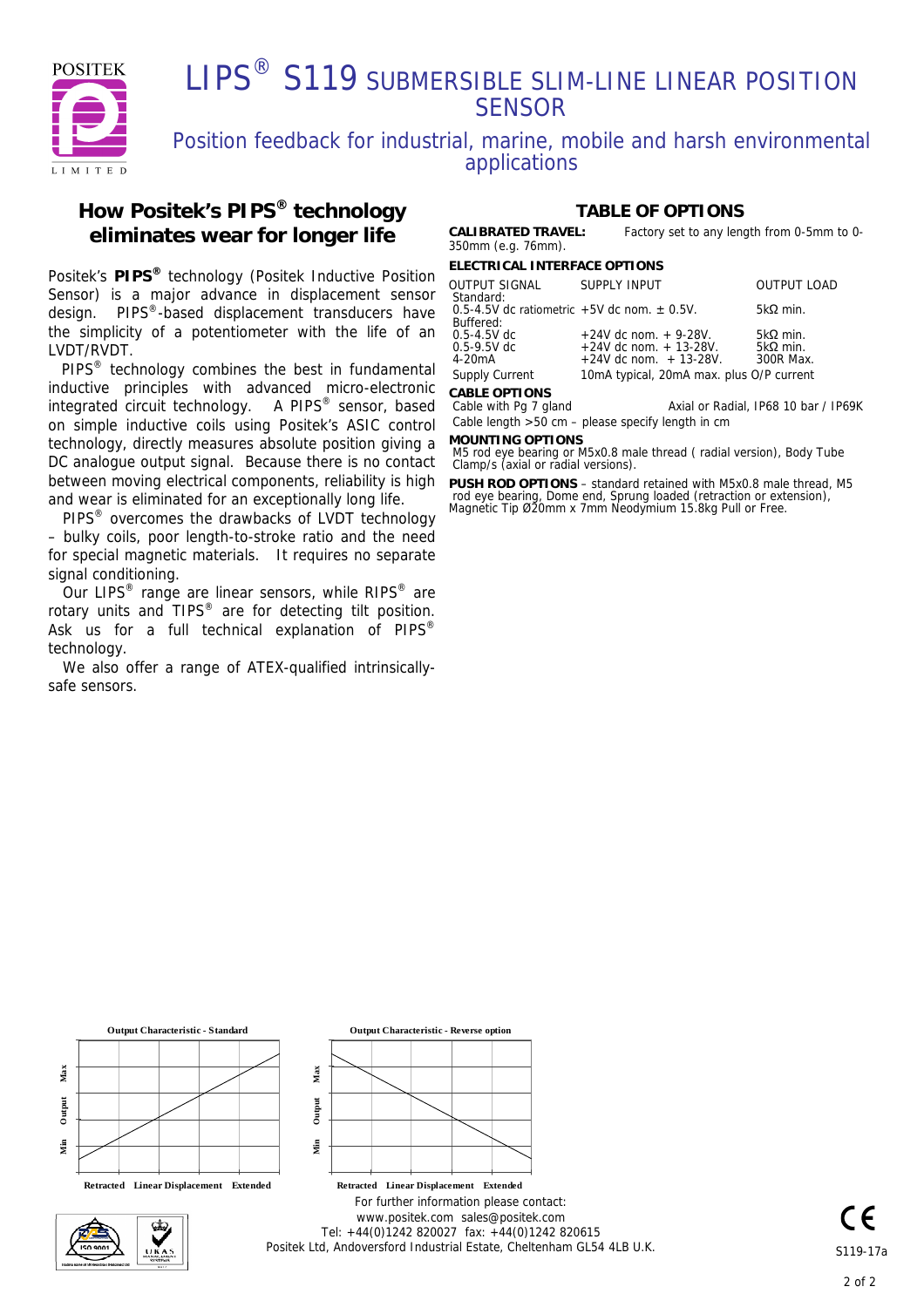

## LIPS<sup>®</sup> S119 SUBMERSIBLE SLIM-LINE LINEAR POSITION **SENSOR**

## Position feedback for industrial, marine, mobile and harsh environmental applications

### **How Positek's PIPS® technology eliminates wear for longer life**

Positek's **PIPS®** technology (Positek Inductive Position Sensor) is a major advance in displacement sensor design. PIPS®-based displacement transducers have the simplicity of a potentiometer with the life of an LVDT/RVDT.

PIPS® technology combines the best in fundamental inductive principles with advanced micro-electronic integrated circuit technology. A PIPS<sup>®</sup> sensor, based on simple inductive coils using Positek's ASIC control technology, directly measures absolute position giving a DC analogue output signal. Because there is no contact between moving electrical components, reliability is high and wear is eliminated for an exceptionally long life.

PIPS<sup>®</sup> overcomes the drawbacks of LVDT technology – bulky coils, poor length-to-stroke ratio and the need for special magnetic materials. It requires no separate signal conditioning.

Our LIPS<sup>®</sup> range are linear sensors, while RIPS<sup>®</sup> are rotary units and TIPS<sup>®</sup> are for detecting tilt position. Ask us for a full technical explanation of PIPS® technology.

 We also offer a range of ATEX-qualified intrinsicallysafe sensors.

### **TABLE OF OPTIONS**

**CALIBRATED TRAVEL:** Factory set to any length from 0-5mm to 0- 350mm (e.g. 76mm).

**ELECTRICAL INTERFACE OPTIONS**

| <b>OUTPUT SIGNAL</b><br>Standard:                 | SUPPLY INPUT                             | <b>OUTPUT LOAD</b> |  |  |
|---------------------------------------------------|------------------------------------------|--------------------|--|--|
| 0.5-4.5V dc ratiometric $+5V$ dc nom. $\pm$ 0.5V. |                                          | 5kΩ min.           |  |  |
| Buffered:                                         |                                          |                    |  |  |
| $0.5 - 4.5V$ dc                                   | $+24V$ dc nom. $+9-28V$ .                | $5k\Omega$ min.    |  |  |
| $0.5 - 9.5V$ dc                                   | $+24V$ dc nom. $+13-28V$ .               | 5kΩ min.           |  |  |
| 4-20mA                                            | $+24V$ dc nom. $+13-28V$ .               | 300R Max.          |  |  |
| <b>Supply Current</b>                             | 10mA typical, 20mA max. plus O/P current |                    |  |  |
| CADI E ODTIONIC                                   |                                          |                    |  |  |

**Cable with Pg 7 gland** Axial or Radial, IP68 10 bar / IP69K Cable length >50 cm – please specify length in cm

**MOUNTING OPTIONS**

M5 rod eye bearing or M5x0.8 male thread ( radial version), Body Tube Clamp/s (axial or radial versions).

**PUSH ROD OPTIONS** – standard retained with M5x0.8 male thread, M5 rod eye bearing, Dome end, Sprung loaded (retraction or extension), Magnetic Tip Ø20mm x 7mm Neodymium 15.8kg Pull or Free.



**Output Characteristic - Standard**

 $Retrated$  Linear Displacement Extended



**Output Characteristic - Reverse option**

**Min Output** 

Output

ą

**Max**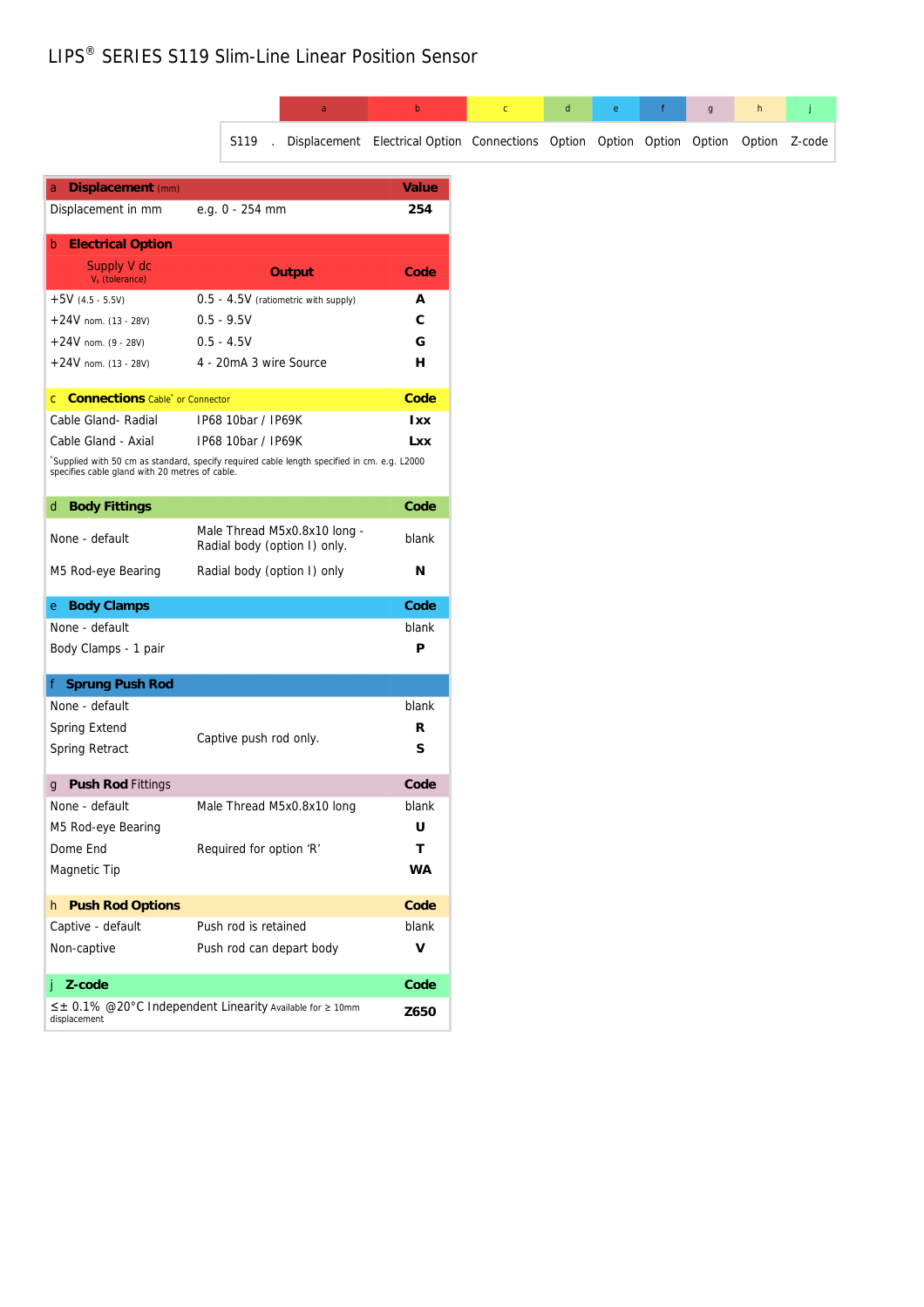# LIPS® SERIES S119 Slim-Line Linear Position Sensor

|                                                                                                                                              |              |                      | a                                                            | b          | $\mathsf{C}$ | $\sf d$ | e | $\mathsf g$                                                            | h             |
|----------------------------------------------------------------------------------------------------------------------------------------------|--------------|----------------------|--------------------------------------------------------------|------------|--------------|---------|---|------------------------------------------------------------------------|---------------|
|                                                                                                                                              |              | S119                 |                                                              |            |              |         |   | Displacement Electrical Option Connections Option Option Option Option | Option Z-code |
| a Displacement (mm)                                                                                                                          |              |                      |                                                              | Value      |              |         |   |                                                                        |               |
| Displacement in mm                                                                                                                           |              | e.g. 0 - 254 mm      |                                                              | 254        |              |         |   |                                                                        |               |
| <b>b</b> Electrical Option                                                                                                                   |              |                      |                                                              |            |              |         |   |                                                                        |               |
| Supply V dc<br>$V_s$ (tolerance)                                                                                                             |              |                      | Output                                                       | Code       |              |         |   |                                                                        |               |
| $+5V$ (4.5 - 5.5V)                                                                                                                           |              |                      | $0.5 - 4.5V$ (ratiometric with supply)                       | Α          |              |         |   |                                                                        |               |
| $+24V$ nom. (13 - 28V)                                                                                                                       | $0.5 - 9.5V$ |                      |                                                              | С          |              |         |   |                                                                        |               |
| $+24V$ nom. (9 - 28V)                                                                                                                        | $0.5 - 4.5V$ |                      |                                                              | G          |              |         |   |                                                                        |               |
| $+24V$ nom. (13 - 28V)                                                                                                                       |              |                      | 4 - 20mA 3 wire Source                                       | н          |              |         |   |                                                                        |               |
| c Connections Cable <sup>*</sup> or Connector                                                                                                |              |                      |                                                              | Code       |              |         |   |                                                                        |               |
| Cable Gland-Radial                                                                                                                           |              | IP68 10bar / IP69K   |                                                              | <b>Ixx</b> |              |         |   |                                                                        |               |
| Cable Gland - Axial                                                                                                                          |              | IP68 10bar / IP69K   |                                                              | <b>Lxx</b> |              |         |   |                                                                        |               |
| Supplied with 50 cm as standard, specify required cable length specified in cm. e.g. L2000<br>specifies cable gland with 20 metres of cable. |              |                      |                                                              |            |              |         |   |                                                                        |               |
| d Body Fittings                                                                                                                              |              |                      |                                                              | Code       |              |         |   |                                                                        |               |
| None - default                                                                                                                               |              |                      | Male Thread M5x0.8x10 long -<br>Radial body (option I) only. | blank      |              |         |   |                                                                        |               |
| M5 Rod-eye Bearing                                                                                                                           |              |                      | Radial body (option I) only                                  | N          |              |         |   |                                                                        |               |
| e Body Clamps                                                                                                                                |              |                      |                                                              | Code       |              |         |   |                                                                        |               |
| None - default                                                                                                                               |              |                      |                                                              | blank      |              |         |   |                                                                        |               |
| Body Clamps - 1 pair                                                                                                                         |              |                      |                                                              | P          |              |         |   |                                                                        |               |
| f Sprung Push Rod                                                                                                                            |              |                      |                                                              |            |              |         |   |                                                                        |               |
| None - default                                                                                                                               |              |                      |                                                              | blank      |              |         |   |                                                                        |               |
| Spring Extend                                                                                                                                |              |                      |                                                              | R          |              |         |   |                                                                        |               |
| Spring Retract                                                                                                                               |              |                      | Captive push rod only.                                       | S          |              |         |   |                                                                        |               |
| g Push Rod Fittings                                                                                                                          |              |                      |                                                              | Code       |              |         |   |                                                                        |               |
| None - default                                                                                                                               |              |                      | Male Thread M5x0.8x10 long                                   | blank      |              |         |   |                                                                        |               |
| M5 Rod-eye Bearing                                                                                                                           |              |                      |                                                              | U          |              |         |   |                                                                        |               |
| Dome End                                                                                                                                     |              |                      | Required for option 'R'                                      | т          |              |         |   |                                                                        |               |
| Magnetic Tip                                                                                                                                 |              |                      |                                                              | WA         |              |         |   |                                                                        |               |
| h Push Rod Options                                                                                                                           |              |                      |                                                              | Code       |              |         |   |                                                                        |               |
| Captive - default                                                                                                                            |              | Push rod is retained |                                                              | blank      |              |         |   |                                                                        |               |
| Non-captive                                                                                                                                  |              |                      | Push rod can depart body                                     | ٧          |              |         |   |                                                                        |               |
|                                                                                                                                              |              |                      |                                                              |            |              |         |   |                                                                        |               |
| Z-code<br>Ť                                                                                                                                  |              |                      |                                                              | Code       |              |         |   |                                                                        |               |